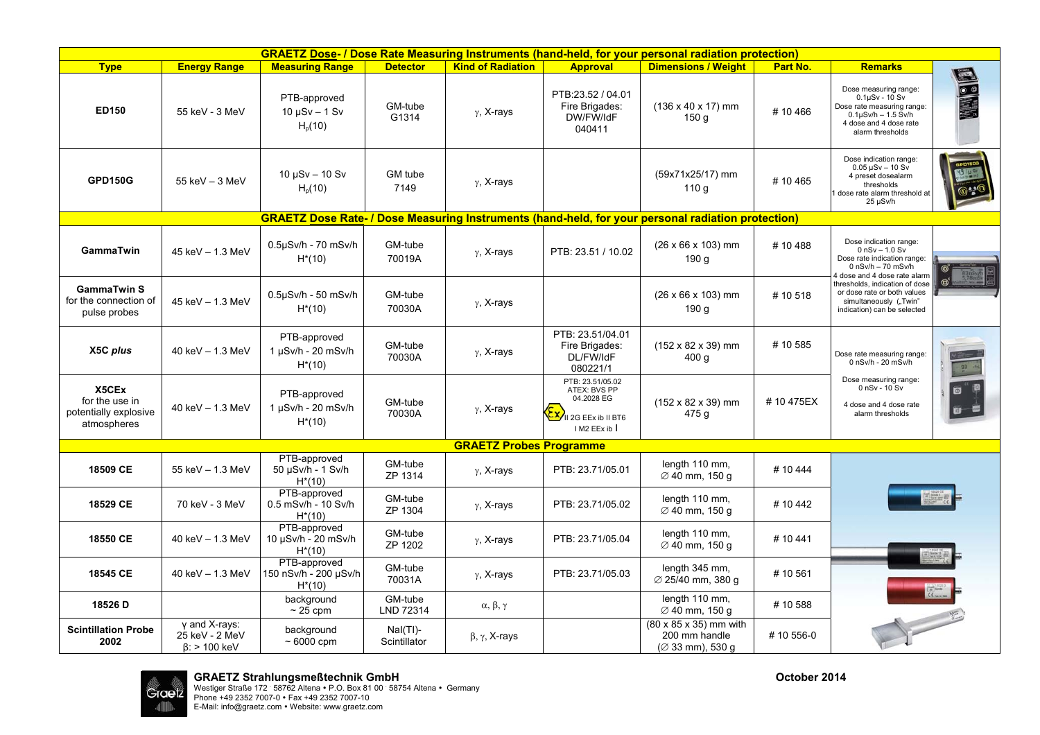| <b>GRAETZ Dose- / Dose Rate Measuring Instruments (hand-held, for your personal radiation protection)</b> |                                                        |                                                    |                             |                                |                                                                                        |                                                                       |                 |                                                                                                                                                           |                         |  |  |
|-----------------------------------------------------------------------------------------------------------|--------------------------------------------------------|----------------------------------------------------|-----------------------------|--------------------------------|----------------------------------------------------------------------------------------|-----------------------------------------------------------------------|-----------------|-----------------------------------------------------------------------------------------------------------------------------------------------------------|-------------------------|--|--|
| <b>Type</b>                                                                                               | <b>Energy Range</b>                                    | <b>Measuring Range</b>                             | <b>Detector</b>             | <b>Kind of Radiation</b>       | <b>Approval</b>                                                                        | <b>Dimensions / Weight</b>                                            | <b>Part No.</b> | <b>Remarks</b>                                                                                                                                            |                         |  |  |
| ED150                                                                                                     | 55 keV - 3 MeV                                         | PTB-approved<br>$10 \mu Sv - 1 Sv$<br>$H_p(10)$    | GM-tube<br>G1314            | $\gamma$ , X-rays              | PTB:23.52 / 04.01<br>Fire Brigades:<br>DW/FW/IdF<br>040411                             | $(136 \times 40 \times 17)$ mm<br>150 <sub>g</sub>                    | #10466          | Dose measuring range:<br>$0.1\mu Sv - 10 Sv$<br>Dose rate measuring range:<br>$0.1\mu$ Sv/h - 1.5 Sv/h<br>4 dose and 4 dose rate<br>alarm thresholds      | ESC                     |  |  |
| <b>GPD150G</b>                                                                                            | $55$ keV $-3$ MeV                                      | $10 \mu Sv - 10 Sv$<br>$H_p(10)$                   | GM tube<br>7149             | $\gamma$ , X-rays              |                                                                                        | (59x71x25/17) mm<br>110 g                                             | #10465          | Dose indication range:<br>$0.05 \,\text{\upmu Sv} - 10 \,\text{\upmu Sv}$<br>4 preset dosealarm<br>thresholds<br>dose rate alarm threshold at<br>25 µSv/h |                         |  |  |
| <b>GRAETZ Dose Rate- / Dose Measuring Instruments (hand-held, for your personal radiation protection)</b> |                                                        |                                                    |                             |                                |                                                                                        |                                                                       |                 |                                                                                                                                                           |                         |  |  |
| GammaTwin                                                                                                 | 45 keV - 1.3 MeV                                       | 0.5µSv/h - 70 mSv/h<br>$H^*(10)$                   | GM-tube<br>70019A           | $\gamma$ , X-rays              | PTB: 23.51 / 10.02                                                                     | $(26 \times 66 \times 103)$ mm<br>190 <sub>g</sub>                    | #10488          | Dose indication range:<br>$0$ nSv $- 1.0$ Sv<br>Dose rate indication range:<br>$0$ nSv/h $-70$ mSv/h                                                      |                         |  |  |
| <b>GammaTwin S</b><br>for the connection of<br>pulse probes                                               | 45 keV - 1.3 MeV                                       | 0.5µSv/h - 50 mSv/h<br>$H^*(10)$                   | GM-tube<br>70030A           | $\gamma$ , X-rays              |                                                                                        | $(26 \times 66 \times 103)$ mm<br>190 <sub>g</sub>                    | #10518          | 4 dose and 4 dose rate alarm<br>thresholds, indication of dose<br>or dose rate or both values<br>simultaneously ("Twin"<br>indication) can be selected    |                         |  |  |
| X5C plus                                                                                                  | 40 keV $- 1.3$ MeV                                     | PTB-approved<br>1 µSv/h - 20 mSv/h<br>$H^*(10)$    | GM-tube<br>70030A           | $\gamma$ , X-rays              | PTB: 23.51/04.01<br>Fire Brigades:<br>DL/FW/IdF<br>080221/1                            | $(152 \times 82 \times 39)$ mm<br>400q                                | #10585          | Dose rate measuring range:<br>$0$ nSv/h - 20 mSv/h                                                                                                        |                         |  |  |
| X5CEx<br>for the use in<br>potentially explosive<br>atmospheres                                           | 40 keV $-$ 1.3 MeV                                     | PTB-approved<br>1 µSv/h - 20 mSv/h<br>$H^*(10)$    | GM-tube<br>70030A           | $\gamma$ , X-rays              | PTB: 23.51/05.02<br>ATEX: BVS PP<br>04.2028 EG<br>Il 2G EEx ib II BT6<br>I M2 EEx ib I | $(152 \times 82 \times 39)$ mm<br>475g                                | #10475EX        | Dose measuring range:<br>$0$ nSv - $10$ Sv<br>4 dose and 4 dose rate<br>alarm thresholds                                                                  | $\mathbf{B}-\mathbf{C}$ |  |  |
|                                                                                                           |                                                        |                                                    |                             | <b>GRAETZ Probes Programme</b> |                                                                                        |                                                                       |                 |                                                                                                                                                           |                         |  |  |
| 18509 CE                                                                                                  | 55 keV - 1.3 MeV                                       | PTB-approved<br>50 µSv/h - 1 Sv/h<br>$H^*(10)$     | GM-tube<br>ZP 1314          | $\gamma$ , X-rays              | PTB: 23.71/05.01                                                                       | length 110 mm,<br>Ø 40 mm, 150 g                                      | #10444          |                                                                                                                                                           |                         |  |  |
| 18529 CE                                                                                                  | 70 keV - 3 MeV                                         | PTB-approved<br>0.5 mSv/h - 10 Sv/h<br>$H^*(10)$   | GM-tube<br>ZP 1304          | $\gamma$ , X-rays              | PTB: 23.71/05.02                                                                       | length 110 mm,<br>∅ 40 mm, 150 q                                      | #10442          |                                                                                                                                                           |                         |  |  |
| 18550 CE                                                                                                  | 40 keV - 1.3 MeV                                       | PTB-approved<br>10 µSv/h - 20 mSv/h<br>$H^*(10)$   | GM-tube<br>ZP 1202          | $\gamma$ , X-rays              | PTB: 23.71/05.04                                                                       | length 110 mm,<br>Ø 40 mm, 150 g                                      | #10441          |                                                                                                                                                           |                         |  |  |
| 18545 CE                                                                                                  | 40 keV $- 1.3$ MeV                                     | PTB-approved<br>150 nSv/h - 200 µSv/h<br>$H^*(10)$ | GM-tube<br>70031A           | $\gamma$ , X-rays              | PTB: 23.71/05.03                                                                       | length 345 mm,<br>Ø 25/40 mm, 380 g                                   | #10561          |                                                                                                                                                           |                         |  |  |
| 18526 D                                                                                                   |                                                        | background<br>$\sim$ 25 cpm                        | GM-tube<br>LND 72314        | $\alpha,\,\beta,\gamma$        |                                                                                        | length 110 mm,<br>$\varnothing$ 40 mm, 150 g                          | #10588          |                                                                                                                                                           |                         |  |  |
| <b>Scintillation Probe</b><br>2002                                                                        | γ and X-rays:<br>25 keV - 2 MeV<br>$\beta$ : > 100 keV | background<br>$~\sim 6000$ cpm                     | $Nal(Tl)$ -<br>Scintillator | $\beta$ , $\gamma$ , X-rays    |                                                                                        | (80 x 85 x 35) mm with<br>200 mm handle<br>$(233 \text{ mm})$ , 530 g | #10 556-0       |                                                                                                                                                           |                         |  |  |